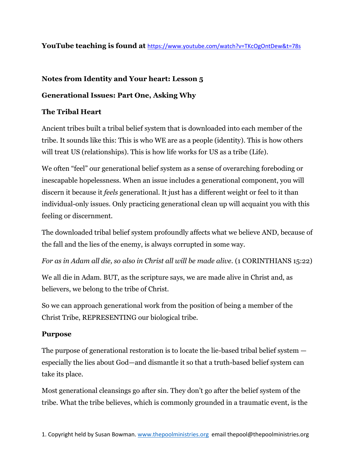## **YouTube teaching is found at** <https://www.youtube.com/watch?v=TKcOgOntDew&t=78s>

## **Notes from Identity and Your heart: Lesson 5**

# **Generational Issues: Part One, Asking Why**

## **The Tribal Heart**

Ancient tribes built a tribal belief system that is downloaded into each member of the tribe. It sounds like this: This is who WE are as a people (identity). This is how others will treat US (relationships). This is how life works for US as a tribe (Life).

We often "feel" our generational belief system as a sense of overarching foreboding or inescapable hopelessness. When an issue includes a generational component, you will discern it because it *feels* generational. It just has a different weight or feel to it than individual-only issues. Only practicing generational clean up will acquaint you with this feeling or discernment.

The downloaded tribal belief system profoundly affects what we believe AND, because of the fall and the lies of the enemy, is always corrupted in some way.

*For as in Adam all die, so also in Christ all will be made alive.* (1 CORINTHIANS 15:22)

We all die in Adam. BUT, as the scripture says, we are made alive in Christ and, as believers, we belong to the tribe of Christ.

So we can approach generational work from the position of being a member of the Christ Tribe, REPRESENTING our biological tribe.

### **Purpose**

The purpose of generational restoration is to locate the lie-based tribal belief system especially the lies about God—and dismantle it so that a truth-based belief system can take its place.

Most generational cleansings go after sin. They don't go after the belief system of the tribe. What the tribe believes, which is commonly grounded in a traumatic event, is the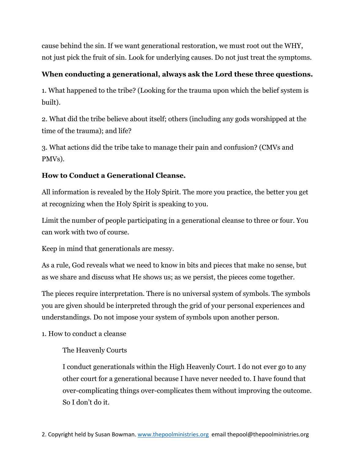cause behind the sin. If we want generational restoration, we must root out the WHY, not just pick the fruit of sin. Look for underlying causes. Do not just treat the symptoms.

# **When conducting a generational, always ask the Lord these three questions.**

1. What happened to the tribe? (Looking for the trauma upon which the belief system is built).

2. What did the tribe believe about itself; others (including any gods worshipped at the time of the trauma); and life?

3. What actions did the tribe take to manage their pain and confusion? (CMVs and PMVs).

# **How to Conduct a Generational Cleanse.**

All information is revealed by the Holy Spirit. The more you practice, the better you get at recognizing when the Holy Spirit is speaking to you.

Limit the number of people participating in a generational cleanse to three or four. You can work with two of course.

Keep in mind that generationals are messy.

As a rule, God reveals what we need to know in bits and pieces that make no sense, but as we share and discuss what He shows us; as we persist, the pieces come together.

The pieces require interpretation. There is no universal system of symbols. The symbols you are given should be interpreted through the grid of your personal experiences and understandings. Do not impose your system of symbols upon another person.

### 1. How to conduct a cleanse

## The Heavenly Courts

I conduct generationals within the High Heavenly Court. I do not ever go to any other court for a generational because I have never needed to. I have found that over-complicating things over-complicates them without improving the outcome. So I don't do it.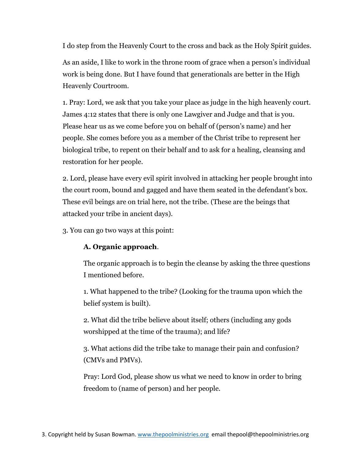I do step from the Heavenly Court to the cross and back as the Holy Spirit guides.

As an aside, I like to work in the throne room of grace when a person's individual work is being done. But I have found that generationals are better in the High Heavenly Courtroom.

1. Pray: Lord, we ask that you take your place as judge in the high heavenly court. James 4:12 states that there is only one Lawgiver and Judge and that is you. Please hear us as we come before you on behalf of (person's name) and her people. She comes before you as a member of the Christ tribe to represent her biological tribe, to repent on their behalf and to ask for a healing, cleansing and restoration for her people.

2. Lord, please have every evil spirit involved in attacking her people brought into the court room, bound and gagged and have them seated in the defendant's box. These evil beings are on trial here, not the tribe. (These are the beings that attacked your tribe in ancient days).

3. You can go two ways at this point:

## **A. Organic approach**.

The organic approach is to begin the cleanse by asking the three questions I mentioned before.

1. What happened to the tribe? (Looking for the trauma upon which the belief system is built).

2. What did the tribe believe about itself; others (including any gods worshipped at the time of the trauma); and life?

3. What actions did the tribe take to manage their pain and confusion? (CMVs and PMVs).

Pray: Lord God, please show us what we need to know in order to bring freedom to (name of person) and her people.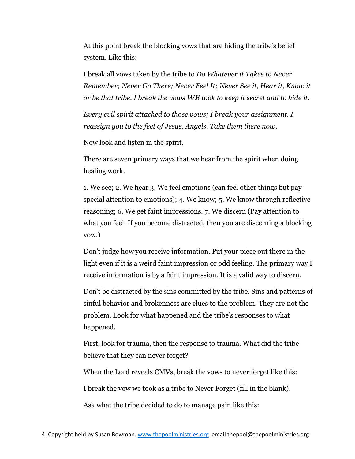At this point break the blocking vows that are hiding the tribe's belief system. Like this:

I break all vows taken by the tribe to *Do Whatever it Takes to Never Remember; Never Go There; Never Feel It; Never See it, Hear it, Know it or be that tribe. I break the vows WE took to keep it secret and to hide it.*

*Every evil spirit attached to those vows; I break your assignment. I reassign you to the feet of Jesus. Angels. Take them there now.*

Now look and listen in the spirit.

There are seven primary ways that we hear from the spirit when doing healing work.

1. We see; 2. We hear 3. We feel emotions (can feel other things but pay special attention to emotions); 4. We know; 5. We know through reflective reasoning; 6. We get faint impressions. 7. We discern (Pay attention to what you feel. If you become distracted, then you are discerning a blocking vow.)

Don't judge how you receive information. Put your piece out there in the light even if it is a weird faint impression or odd feeling. The primary way I receive information is by a faint impression. It is a valid way to discern.

Don't be distracted by the sins committed by the tribe. Sins and patterns of sinful behavior and brokenness are clues to the problem. They are not the problem. Look for what happened and the tribe's responses to what happened.

First, look for trauma, then the response to trauma. What did the tribe believe that they can never forget?

When the Lord reveals CMVs, break the vows to never forget like this:

I break the vow we took as a tribe to Never Forget (fill in the blank).

Ask what the tribe decided to do to manage pain like this: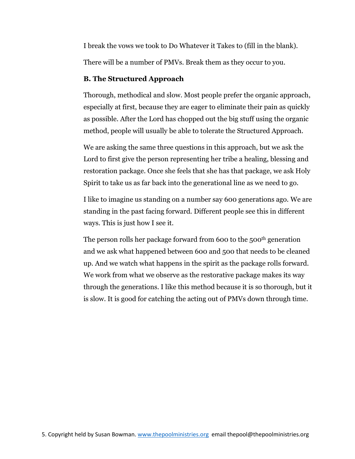I break the vows we took to Do Whatever it Takes to (fill in the blank).

There will be a number of PMVs. Break them as they occur to you.

## **B. The Structured Approach**

Thorough, methodical and slow. Most people prefer the organic approach, especially at first, because they are eager to eliminate their pain as quickly as possible. After the Lord has chopped out the big stuff using the organic method, people will usually be able to tolerate the Structured Approach.

We are asking the same three questions in this approach, but we ask the Lord to first give the person representing her tribe a healing, blessing and restoration package. Once she feels that she has that package, we ask Holy Spirit to take us as far back into the generational line as we need to go.

I like to imagine us standing on a number say 600 generations ago. We are standing in the past facing forward. Different people see this in different ways. This is just how I see it.

The person rolls her package forward from 600 to the 500<sup>th</sup> generation and we ask what happened between 600 and 500 that needs to be cleaned up. And we watch what happens in the spirit as the package rolls forward. We work from what we observe as the restorative package makes its way through the generations. I like this method because it is so thorough, but it is slow. It is good for catching the acting out of PMVs down through time.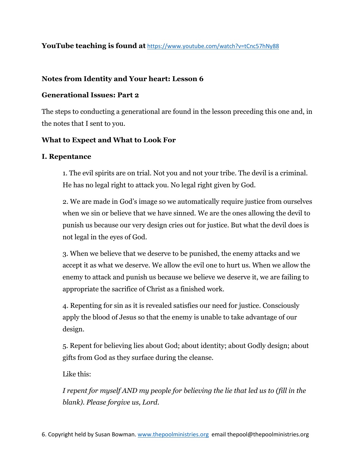## **YouTube teaching is found at** <https://www.youtube.com/watch?v=tCnc57hNy88>

## **Notes from Identity and Your heart: Lesson 6**

## **Generational Issues: Part 2**

The steps to conducting a generational are found in the lesson preceding this one and, in the notes that I sent to you.

## **What to Expect and What to Look For**

### **I. Repentance**

1. The evil spirits are on trial. Not you and not your tribe. The devil is a criminal. He has no legal right to attack you. No legal right given by God.

2. We are made in God's image so we automatically require justice from ourselves when we sin or believe that we have sinned. We are the ones allowing the devil to punish us because our very design cries out for justice. But what the devil does is not legal in the eyes of God.

3. When we believe that we deserve to be punished, the enemy attacks and we accept it as what we deserve. We allow the evil one to hurt us. When we allow the enemy to attack and punish us because we believe we deserve it, we are failing to appropriate the sacrifice of Christ as a finished work.

4. Repenting for sin as it is revealed satisfies our need for justice. Consciously apply the blood of Jesus so that the enemy is unable to take advantage of our design.

5. Repent for believing lies about God; about identity; about Godly design; about gifts from God as they surface during the cleanse.

Like this:

*I repent for myself AND my people for believing the lie that led us to (fill in the blank). Please forgive us, Lord.*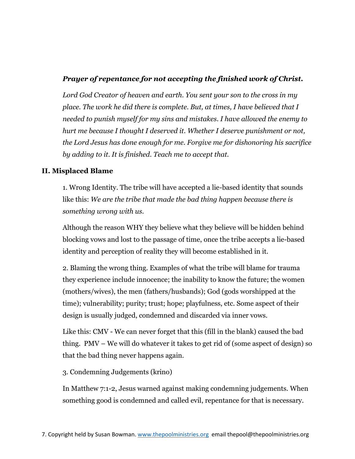# *Prayer of repentance for not accepting the finished work of Christ.*

*Lord God Creator of heaven and earth. You sent your son to the cross in my place. The work he did there is complete. But, at times, I have believed that I needed to punish myself for my sins and mistakes. I have allowed the enemy to hurt me because I thought I deserved it. Whether I deserve punishment or not, the Lord Jesus has done enough for me. Forgive me for dishonoring his sacrifice by adding to it. It is finished. Teach me to accept that.*

## **II. Misplaced Blame**

1. Wrong Identity. The tribe will have accepted a lie-based identity that sounds like this: *We are the tribe that made the bad thing happen because there is something wrong with us.*

Although the reason WHY they believe what they believe will be hidden behind blocking vows and lost to the passage of time, once the tribe accepts a lie-based identity and perception of reality they will become established in it.

2. Blaming the wrong thing. Examples of what the tribe will blame for trauma they experience include innocence; the inability to know the future; the women (mothers/wives), the men (fathers/husbands); God (gods worshipped at the time); vulnerability; purity; trust; hope; playfulness, etc. Some aspect of their design is usually judged, condemned and discarded via inner vows.

Like this: CMV - We can never forget that this (fill in the blank) caused the bad thing. PMV – We will do whatever it takes to get rid of (some aspect of design) so that the bad thing never happens again.

3. Condemning Judgements (krino)

In Matthew 7:1-2, Jesus warned against making condemning judgements. When something good is condemned and called evil, repentance for that is necessary.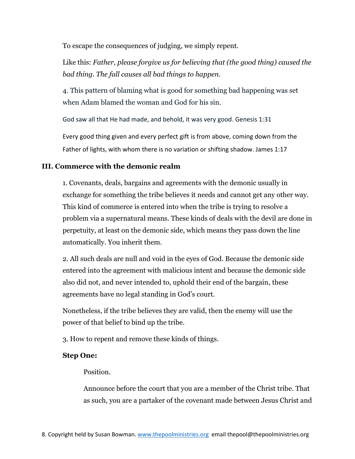To escape the consequences of judging, we simply repent.

Like this: *Father, please forgive us for believing that (the good thing) caused the bad thing. The fall causes all bad things to happen.*

4. This pattern of blaming what is good for something bad happening was set when Adam blamed the woman and God for his sin.

God saw all that He had made, and behold, it was very good. Genesis 1:31

Every good thing given and every perfect gift is from above, coming down from the Father of lights, with whom there is no variation or shifting shadow. James 1:17

## **III. Commerce with the demonic realm**

1. Covenants, deals, bargains and agreements with the demonic usually in exchange for something the tribe believes it needs and cannot get any other way. This kind of commerce is entered into when the tribe is trying to resolve a problem via a supernatural means. These kinds of deals with the devil are done in perpetuity, at least on the demonic side, which means they pass down the line automatically. You inherit them.

2. All such deals are null and void in the eyes of God. Because the demonic side entered into the agreement with malicious intent and because the demonic side also did not, and never intended to, uphold their end of the bargain, these agreements have no legal standing in God's court.

Nonetheless, if the tribe believes they are valid, then the enemy will use the power of that belief to bind up the tribe.

3. How to repent and remove these kinds of things.

### **Step One:**

Position.

Announce before the court that you are a member of the Christ tribe. That as such, you are a partaker of the covenant made between Jesus Christ and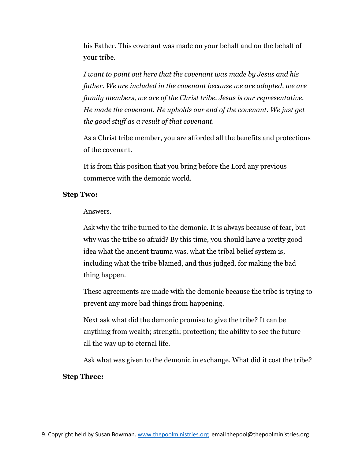his Father. This covenant was made on your behalf and on the behalf of your tribe.

*I want to point out here that the covenant was made by Jesus and his father. We are included in the covenant because we are adopted, we are family members, we are of the Christ tribe. Jesus is our representative. He made the covenant. He upholds our end of the covenant. We just get the good stuff as a result of that covenant.*

As a Christ tribe member, you are afforded all the benefits and protections of the covenant.

It is from this position that you bring before the Lord any previous commerce with the demonic world.

#### **Step Two:**

#### Answers.

Ask why the tribe turned to the demonic. It is always because of fear, but why was the tribe so afraid? By this time, you should have a pretty good idea what the ancient trauma was, what the tribal belief system is, including what the tribe blamed, and thus judged, for making the bad thing happen.

These agreements are made with the demonic because the tribe is trying to prevent any more bad things from happening.

Next ask what did the demonic promise to give the tribe? It can be anything from wealth; strength; protection; the ability to see the future all the way up to eternal life.

Ask what was given to the demonic in exchange. What did it cost the tribe?

#### **Step Three:**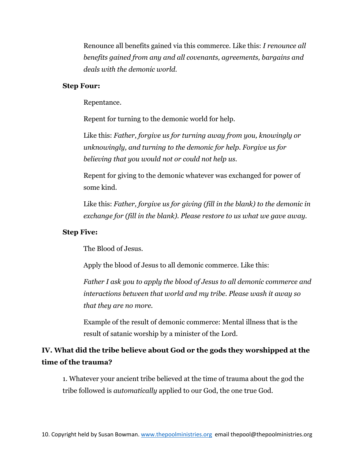Renounce all benefits gained via this commerce. Like this: *I renounce all benefits gained from any and all covenants, agreements, bargains and deals with the demonic world.*

#### **Step Four:**

Repentance.

Repent for turning to the demonic world for help.

Like this: *Father, forgive us for turning away from you, knowingly or unknowingly, and turning to the demonic for help. Forgive us for believing that you would not or could not help us.*

Repent for giving to the demonic whatever was exchanged for power of some kind.

Like this: *Father, forgive us for giving (fill in the blank) to the demonic in exchange for (fill in the blank). Please restore to us what we gave away.*

#### **Step Five:**

The Blood of Jesus.

Apply the blood of Jesus to all demonic commerce. Like this:

*Father I ask you to apply the blood of Jesus to all demonic commerce and interactions between that world and my tribe. Please wash it away so that they are no more.*

Example of the result of demonic commerce: Mental illness that is the result of satanic worship by a minister of the Lord.

# **IV. What did the tribe believe about God or the gods they worshipped at the time of the trauma?**

1. Whatever your ancient tribe believed at the time of trauma about the god the tribe followed is *automatically* applied to our God, the one true God.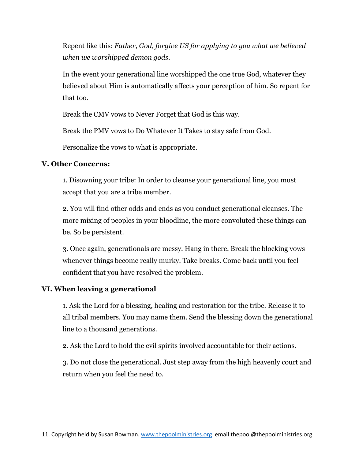Repent like this: *Father, God, forgive US for applying to you what we believed when we worshipped demon gods.*

In the event your generational line worshipped the one true God, whatever they believed about Him is automatically affects your perception of him. So repent for that too.

Break the CMV vows to Never Forget that God is this way.

Break the PMV vows to Do Whatever It Takes to stay safe from God.

Personalize the vows to what is appropriate.

#### **V. Other Concerns:**

1. Disowning your tribe: In order to cleanse your generational line, you must accept that you are a tribe member.

2. You will find other odds and ends as you conduct generational cleanses. The more mixing of peoples in your bloodline, the more convoluted these things can be. So be persistent.

3. Once again, generationals are messy. Hang in there. Break the blocking vows whenever things become really murky. Take breaks. Come back until you feel confident that you have resolved the problem.

#### **VI. When leaving a generational**

1. Ask the Lord for a blessing, healing and restoration for the tribe. Release it to all tribal members. You may name them. Send the blessing down the generational line to a thousand generations.

2. Ask the Lord to hold the evil spirits involved accountable for their actions.

3. Do not close the generational. Just step away from the high heavenly court and return when you feel the need to.